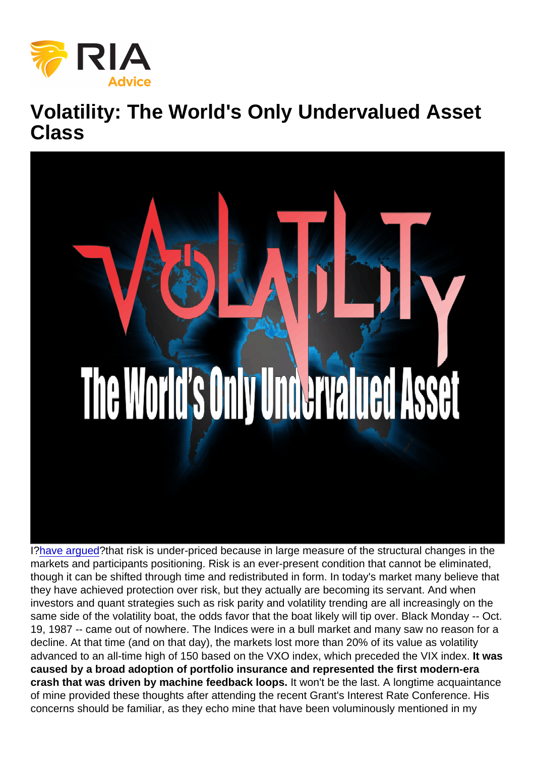## Volatility: The World's Only Undervalued Asset Class

I[?have argued?](https://realmoneypro.thestreet.com/dougs-daily-diary?published[value][date]=2017-10-16#risk-is-underpri-20171016)that risk is under-priced because in large measure of the structural changes in the markets and participants positioning. Risk is an ever-present condition that cannot be eliminated, though it can be shifted through time and redistributed in form. In today's market many believe that they have achieved protection over risk, but they actually are becoming its servant. And when investors and quant strategies such as risk parity and volatility trending are all increasingly on the same side of the volatility boat, the odds favor that the boat likely will tip over. Black Monday -- Oct. 19, 1987 -- came out of nowhere. The Indices were in a bull market and many saw no reason for a decline. At that time (and on that day), the markets lost more than 20% of its value as volatility advanced to an all-time high of 150 based on the VXO index, which preceded the VIX index. It was caused by a broad adoption of portfolio insurance and represented the first modern-era crash that was driven by machine feedback loops. It won't be the last. A longtime acquaintance of mine provided these thoughts after attending the recent Grant's Interest Rate Conference. His concerns should be familiar, as they echo mine that have been voluminously mentioned in my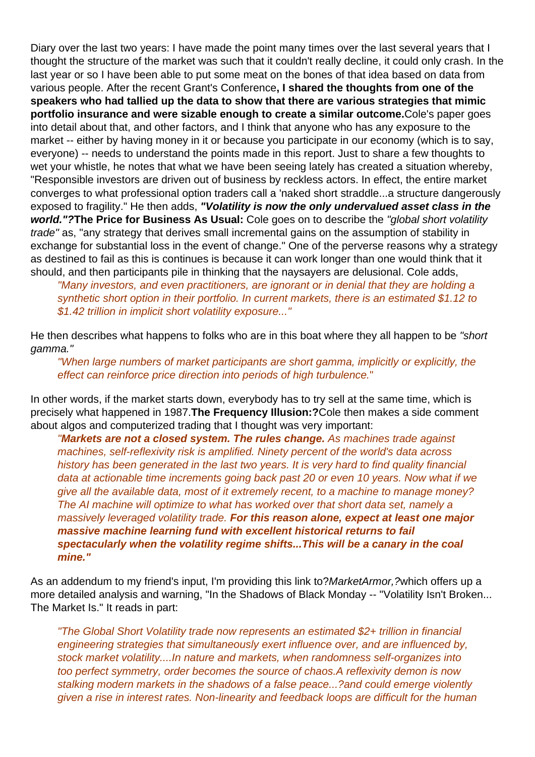Diary over the last two years: I have made the point many times over the last several years that I thought the structure of the market was such that it couldn't really decline, it could only crash. In the last year or so I have been able to put some meat on the bones of that idea based on data from various people. After the recent Grant's Conference**, I shared the thoughts from one of the speakers who had tallied up the data to show that there are various strategies that mimic portfolio insurance and were sizable enough to create a similar outcome.**Cole's paper goes into detail about that, and other factors, and I think that anyone who has any exposure to the market -- either by having money in it or because you participate in our economy (which is to say, everyone) -- needs to understand the points made in this report. Just to share a few thoughts to wet your whistle, he notes that what we have been seeing lately has created a situation whereby, "Responsible investors are driven out of business by reckless actors. In effect, the entire market converges to what professional option traders call a 'naked short straddle...a structure dangerously exposed to fragility." He then adds, **"Volatility is now the only undervalued asset class in the world."?The Price for Business As Usual:** Cole goes on to describe the "global short volatility trade" as, "any strategy that derives small incremental gains on the assumption of stability in exchange for substantial loss in the event of change." One of the perverse reasons why a strategy as destined to fail as this is continues is because it can work longer than one would think that it should, and then participants pile in thinking that the naysayers are delusional. Cole adds,

"Many investors, and even practitioners, are ignorant or in denial that they are holding a synthetic short option in their portfolio. In current markets, there is an estimated \$1.12 to \$1.42 trillion in implicit short volatility exposure..."

He then describes what happens to folks who are in this boat where they all happen to be "short" gamma."

"When large numbers of market participants are short gamma, implicitly or explicitly, the effect can reinforce price direction into periods of high turbulence."

In other words, if the market starts down, everybody has to try sell at the same time, which is precisely what happened in 1987.**The Frequency Illusion:?**Cole then makes a side comment about algos and computerized trading that I thought was very important:

"**Markets are not a closed system. The rules change.** As machines trade against machines, self-reflexivity risk is amplified. Ninety percent of the world's data across history has been generated in the last two years. It is very hard to find quality financial data at actionable time increments going back past 20 or even 10 years. Now what if we give all the available data, most of it extremely recent, to a machine to manage money? The AI machine will optimize to what has worked over that short data set, namely a massively leveraged volatility trade. **For this reason alone, expect at least one major massive machine learning fund with excellent historical returns to fail spectacularly when the volatility regime shifts...This will be a canary in the coal mine."**

As an addendum to my friend's input, I'm providing this link to?*MarketArmor*,?which offers up a more detailed analysis and warning, "In the Shadows of Black Monday -- "Volatility Isn't Broken... The Market Is." It reads in part:

"The Global Short Volatility trade now represents an estimated \$2+ trillion in financial engineering strategies that simultaneously exert influence over, and are influenced by, stock market volatility....In nature and markets, when randomness self-organizes into too perfect symmetry, order becomes the source of chaos.A reflexivity demon is now stalking modern markets in the shadows of a false peace...?and could emerge violently given a rise in interest rates. Non-linearity and feedback loops are difficult for the human